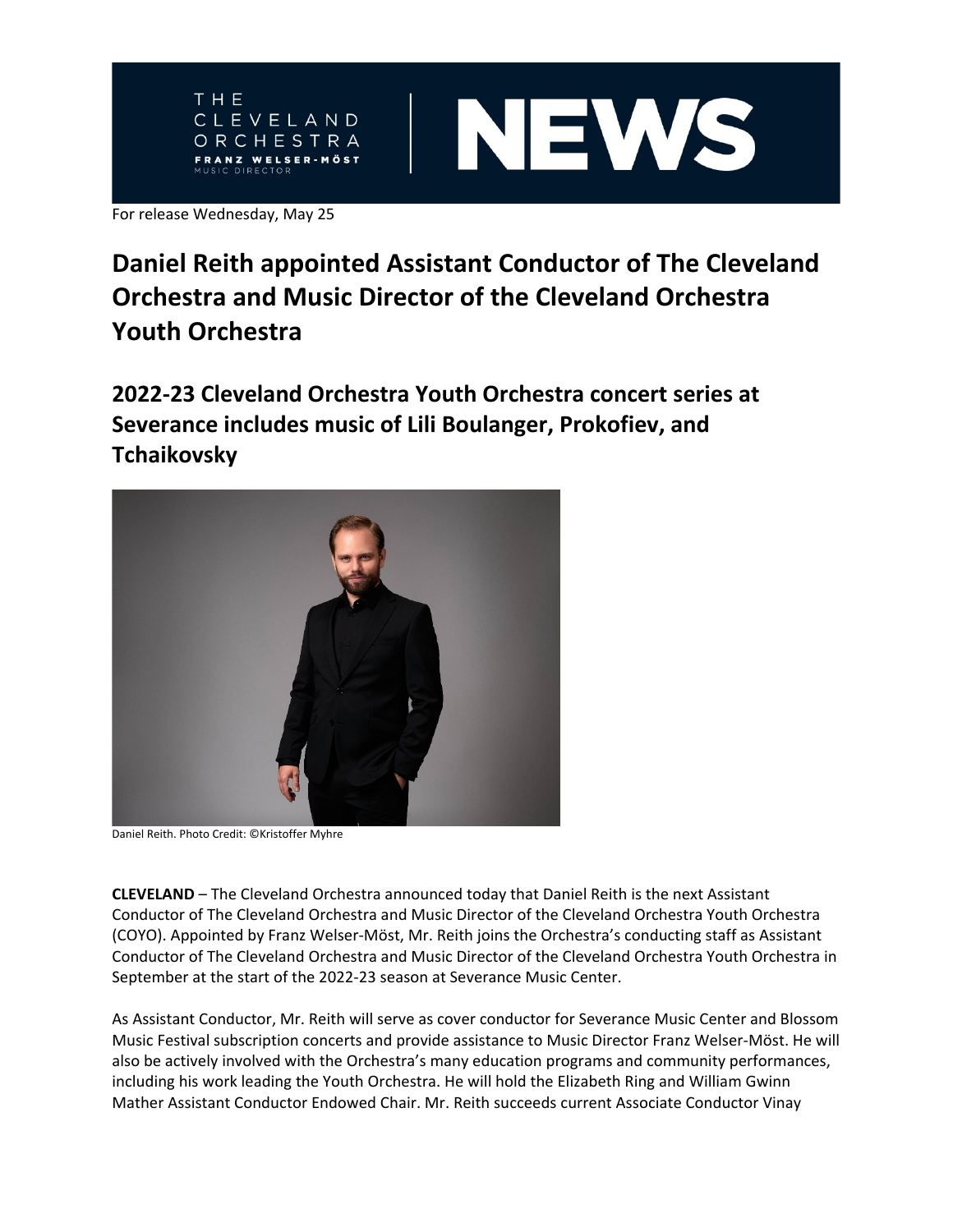



For release Wednesday, May 25

# **Daniel Reith appointed Assistant Conductor of The Cleveland Orchestra and Music Director of the Cleveland Orchestra Youth Orchestra**

**2022-23 Cleveland Orchestra Youth Orchestra concert series at Severance includes music of Lili Boulanger, Prokofiev, and Tchaikovsky** 



Daniel Reith. Photo Credit: ©Kristoffer Myhre

**CLEVELAND** – The Cleveland Orchestra announced today that Daniel Reith is the next Assistant Conductor of The Cleveland Orchestra and Music Director of the Cleveland Orchestra Youth Orchestra (COYO). Appointed by Franz Welser-Möst, Mr. Reith joins the Orchestra's conducting staff as Assistant Conductor of The Cleveland Orchestra and Music Director of the Cleveland Orchestra Youth Orchestra in September at the start of the 2022-23 season at Severance Music Center.

As Assistant Conductor, Mr. Reith will serve as cover conductor for Severance Music Center and Blossom Music Festival subscription concerts and provide assistance to Music Director Franz Welser-Möst. He will also be actively involved with the Orchestra's many education programs and community performances, including his work leading the Youth Orchestra. He will hold the Elizabeth Ring and William Gwinn Mather Assistant Conductor Endowed Chair. Mr. Reith succeeds current Associate Conductor Vinay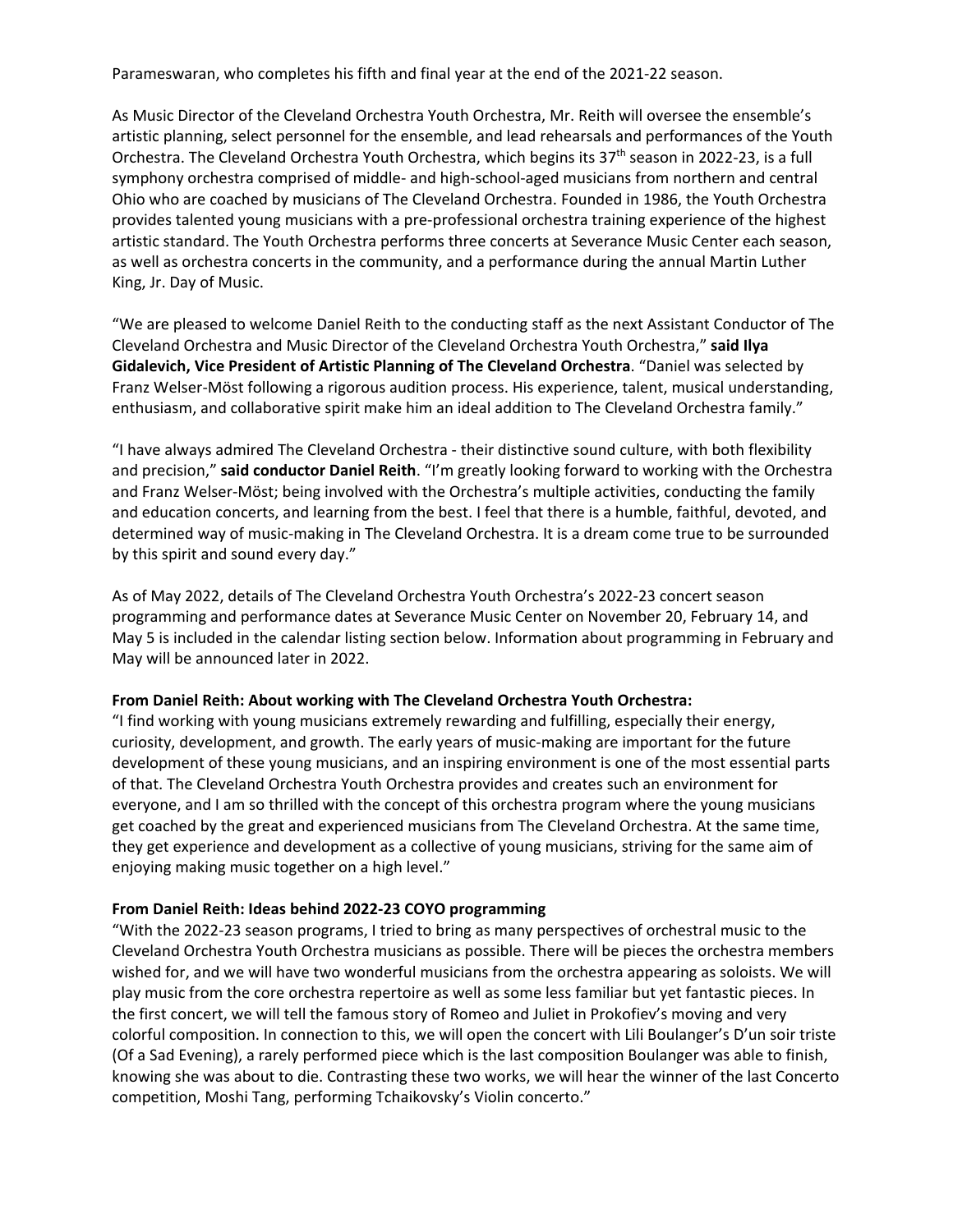Parameswaran, who completes his fifth and final year at the end of the 2021-22 season.

As Music Director of the Cleveland Orchestra Youth Orchestra, Mr. Reith will oversee the ensemble's artistic planning, select personnel for the ensemble, and lead rehearsals and performances of the Youth Orchestra. The Cleveland Orchestra Youth Orchestra, which begins its  $37<sup>th</sup>$  season in 2022-23, is a full symphony orchestra comprised of middle- and high-school-aged musicians from northern and central Ohio who are coached by musicians of The Cleveland Orchestra. Founded in 1986, the Youth Orchestra provides talented young musicians with a pre-professional orchestra training experience of the highest artistic standard. The Youth Orchestra performs three concerts at Severance Music Center each season, as well as orchestra concerts in the community, and a performance during the annual Martin Luther King, Jr. Day of Music.

"We are pleased to welcome Daniel Reith to the conducting staff as the next Assistant Conductor of The Cleveland Orchestra and Music Director of the Cleveland Orchestra Youth Orchestra," **said Ilya Gidalevich, Vice President of Artistic Planning of The Cleveland Orchestra**. "Daniel was selected by Franz Welser-Möst following a rigorous audition process. His experience, talent, musical understanding, enthusiasm, and collaborative spirit make him an ideal addition to The Cleveland Orchestra family."

"I have always admired The Cleveland Orchestra - their distinctive sound culture, with both flexibility and precision," **said conductor Daniel Reith**. "I'm greatly looking forward to working with the Orchestra and Franz Welser-Möst; being involved with the Orchestra's multiple activities, conducting the family and education concerts, and learning from the best. I feel that there is a humble, faithful, devoted, and determined way of music-making in The Cleveland Orchestra. It is a dream come true to be surrounded by this spirit and sound every day."

As of May 2022, details of The Cleveland Orchestra Youth Orchestra's 2022-23 concert season programming and performance dates at Severance Music Center on November 20, February 14, and May 5 is included in the calendar listing section below. Information about programming in February and May will be announced later in 2022.

### **From Daniel Reith: About working with The Cleveland Orchestra Youth Orchestra:**

"I find working with young musicians extremely rewarding and fulfilling, especially their energy, curiosity, development, and growth. The early years of music-making are important for the future development of these young musicians, and an inspiring environment is one of the most essential parts of that. The Cleveland Orchestra Youth Orchestra provides and creates such an environment for everyone, and I am so thrilled with the concept of this orchestra program where the young musicians get coached by the great and experienced musicians from The Cleveland Orchestra. At the same time, they get experience and development as a collective of young musicians, striving for the same aim of enjoying making music together on a high level."

# **From Daniel Reith: Ideas behind 2022-23 COYO programming**

"With the 2022-23 season programs, I tried to bring as many perspectives of orchestral music to the Cleveland Orchestra Youth Orchestra musicians as possible. There will be pieces the orchestra members wished for, and we will have two wonderful musicians from the orchestra appearing as soloists. We will play music from the core orchestra repertoire as well as some less familiar but yet fantastic pieces. In the first concert, we will tell the famous story of Romeo and Juliet in Prokofiev's moving and very colorful composition. In connection to this, we will open the concert with Lili Boulanger's D'un soir triste (Of a Sad Evening), a rarely performed piece which is the last composition Boulanger was able to finish, knowing she was about to die. Contrasting these two works, we will hear the winner of the last Concerto competition, Moshi Tang, performing Tchaikovsky's Violin concerto."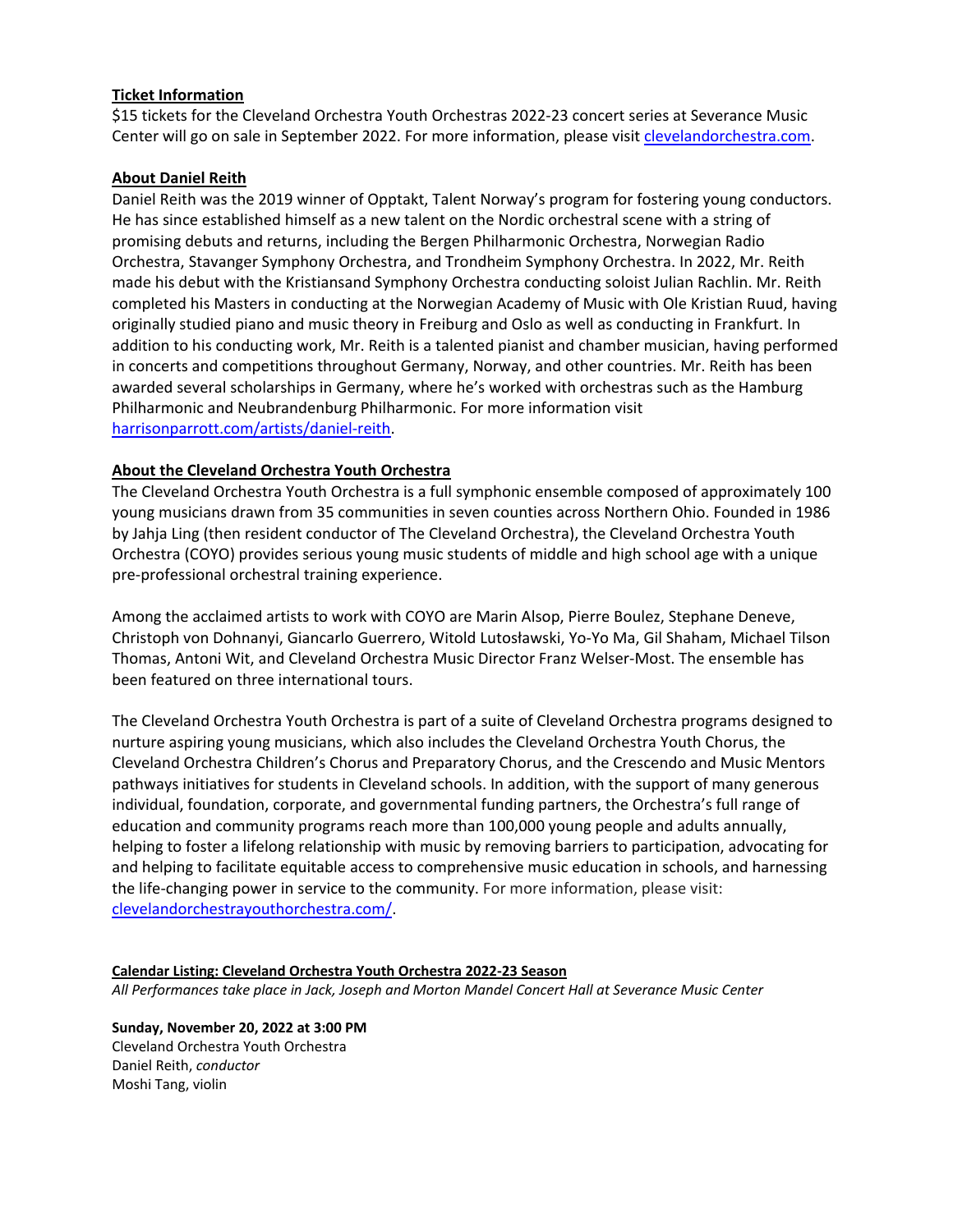# **Ticket Information**

\$15 tickets for the Cleveland Orchestra Youth Orchestras 2022-23 concert series at Severance Music Center will go on sale in September 2022. For more information, please visit [clevelandorchestra.com.](http://www.clevelandorchestra.com/)

## **About Daniel Reith**

Daniel Reith was the 2019 winner of Opptakt, Talent Norway's program for fostering young conductors. He has since established himself as a new talent on the Nordic orchestral scene with a string of promising debuts and returns, including the Bergen Philharmonic Orchestra, Norwegian Radio Orchestra, Stavanger Symphony Orchestra, and Trondheim Symphony Orchestra. In 2022, Mr. Reith made his debut with the Kristiansand Symphony Orchestra conducting soloist Julian Rachlin. Mr. Reith completed his Masters in conducting at the Norwegian Academy of Music with Ole Kristian Ruud, having originally studied piano and music theory in Freiburg and Oslo as well as conducting in Frankfurt. In addition to his conducting work, Mr. Reith is a talented pianist and chamber musician, having performed in concerts and competitions throughout Germany, Norway, and other countries. Mr. Reith has been awarded several scholarships in Germany, where he's worked with orchestras such as the Hamburg Philharmonic and Neubrandenburg Philharmonic. For more information visit [harrisonparrott.com/artists/daniel-reith.](https://www.harrisonparrott.com/artists/daniel-reith)

# **About the Cleveland Orchestra Youth Orchestra**

The Cleveland Orchestra Youth Orchestra is a full symphonic ensemble composed of approximately 100 young musicians drawn from 35 communities in seven counties across Northern Ohio. Founded in 1986 by Jahja Ling (then resident conductor of The Cleveland Orchestra), the Cleveland Orchestra Youth Orchestra (COYO) provides serious young music students of middle and high school age with a unique pre-professional orchestral training experience.

Among the acclaimed artists to work with COYO are Marin Alsop, Pierre Boulez, Stephane Deneve, Christoph von Dohnanyi, Giancarlo Guerrero, Witold Lutosławski, Yo-Yo Ma, Gil Shaham, Michael Tilson Thomas, Antoni Wit, and Cleveland Orchestra Music Director Franz Welser-Most. The ensemble has been featured on three international tours.

The Cleveland Orchestra Youth Orchestra is part of a suite of Cleveland Orchestra programs designed to nurture aspiring young musicians, which also includes the Cleveland Orchestra Youth Chorus, the Cleveland Orchestra Children's Chorus and Preparatory Chorus, and the Crescendo and Music Mentors pathways initiatives for students in Cleveland schools. In addition, with the support of many generous individual, foundation, corporate, and governmental funding partners, the Orchestra's full range of education and community programs reach more than 100,000 young people and adults annually, helping to foster a lifelong relationship with music by removing barriers to participation, advocating for and helping to facilitate equitable access to comprehensive music education in schools, and harnessing the life-changing power in service to the community. For more information, please visit: [clevelandorchestrayouthorchestra.com/.](https://www.clevelandorchestrayouthorchestra.com/)

### **Calendar Listing: Cleveland Orchestra Youth Orchestra 2022-23 Season**

*All Performances take place in Jack, Joseph and Morton Mandel Concert Hall at Severance Music Center*

## **Sunday, November 20, 2022 at 3:00 PM** Cleveland Orchestra Youth Orchestra Daniel Reith, *conductor* Moshi Tang, violin